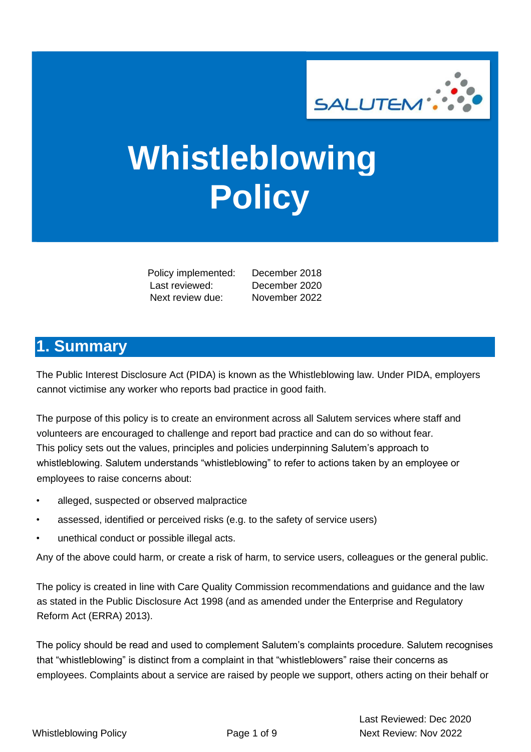

# **Whistleblowing Policy**

 Policy implemented: December 2018 Last reviewed: December 2020 Next review due: November 2022

### <span id="page-0-0"></span>**1. Summary**

The Public Interest Disclosure Act (PIDA) is known as the Whistleblowing law. Under PIDA, employers cannot victimise any worker who reports bad practice in good faith.

The purpose of this policy is to create an environment across all Salutem services where staff and volunteers are encouraged to challenge and report bad practice and can do so without fear. This policy sets out the values, principles and policies underpinning Salutem's approach to whistleblowing. Salutem understands "whistleblowing" to refer to actions taken by an employee or employees to raise concerns about:

- alleged, suspected or observed malpractice
- assessed, identified or perceived risks (e.g. to the safety of service users)
- unethical conduct or possible illegal acts.

Any of the above could harm, or create a risk of harm, to service users, colleagues or the general public.

The policy is created in line with Care Quality Commission recommendations and guidance and the law as stated in the Public Disclosure Act 1998 (and as amended under the Enterprise and Regulatory Reform Act (ERRA) 2013).

The policy should be read and used to complement Salutem's complaints procedure. Salutem recognises that "whistleblowing" is distinct from a complaint in that "whistleblowers" raise their concerns as employees. Complaints about a service are raised by people we support, others acting on their behalf or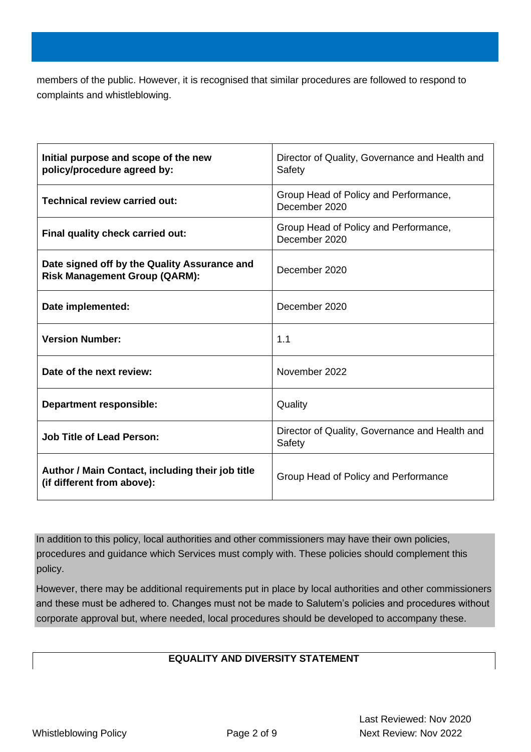members of the public. However, it is recognised that similar procedures are followed to respond to complaints and whistleblowing.

<span id="page-1-0"></span>

| Initial purpose and scope of the new<br>policy/procedure agreed by:                  | Director of Quality, Governance and Health and<br>Safety |  |  |
|--------------------------------------------------------------------------------------|----------------------------------------------------------|--|--|
| <b>Technical review carried out:</b>                                                 | Group Head of Policy and Performance,<br>December 2020   |  |  |
| Final quality check carried out:                                                     | Group Head of Policy and Performance,<br>December 2020   |  |  |
| Date signed off by the Quality Assurance and<br><b>Risk Management Group (QARM):</b> | December 2020                                            |  |  |
| Date implemented:                                                                    | December 2020                                            |  |  |
| <b>Version Number:</b>                                                               | 1.1                                                      |  |  |
| Date of the next review:                                                             | November 2022                                            |  |  |
| <b>Department responsible:</b>                                                       | Quality                                                  |  |  |
| <b>Job Title of Lead Person:</b>                                                     | Director of Quality, Governance and Health and<br>Safety |  |  |
| Author / Main Contact, including their job title<br>(if different from above):       | Group Head of Policy and Performance                     |  |  |

In addition to this policy, local authorities and other commissioners may have their own policies, procedures and guidance which Services must comply with. These policies should complement this policy.

However, there may be additional requirements put in place by local authorities and other commissioners and these must be adhered to. Changes must not be made to Salutem's policies and procedures without corporate approval but, where needed, local procedures should be developed to accompany these.

### **EQUALITY AND DIVERSITY STATEMENT**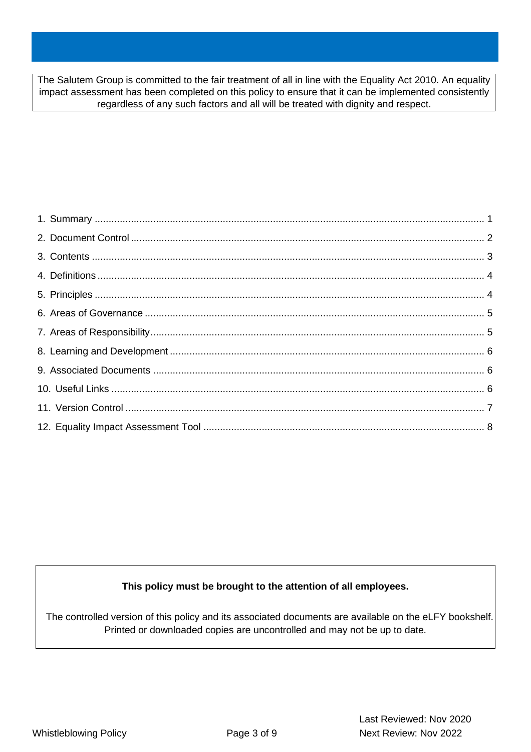The Salutem Group is committed to the fair treatment of all in line with the Equality Act 2010. An equality impact assessment has been completed on this policy to ensure that it can be implemented consistently regardless of any such factors and all will be treated with dignity and respect.

<span id="page-2-0"></span>

#### **This policy must be brought to the attention of all employees.**

The controlled version of this policy and its associated documents are available on the eLFY bookshelf. Printed or downloaded copies are uncontrolled and may not be up to date.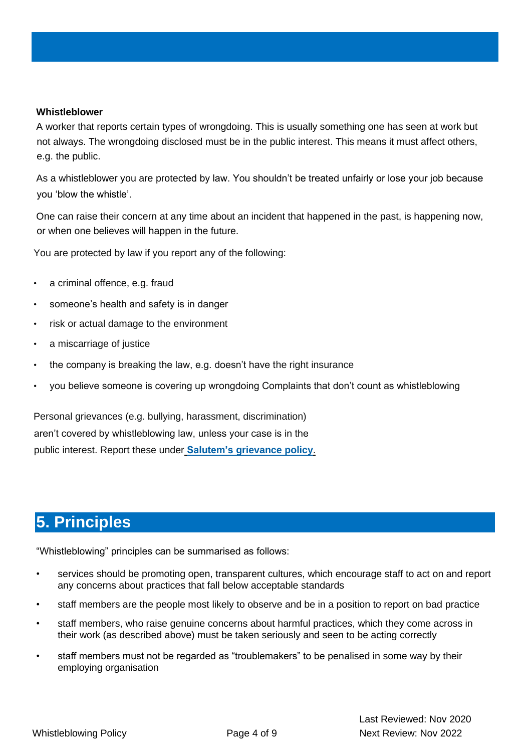#### <span id="page-3-0"></span>**Whistleblower**

A worker that reports certain types of wrongdoing. This is usually something one has seen at work but not always. The wrongdoing disclosed must be in the public interest. This means it must affect others, e.g. the public.

As a whistleblower you are protected by law. You shouldn't be treated unfairly or lose your job because you 'blow the whistle'.

One can raise their concern at any time about an incident that happened in the past, is happening now, or when one believes will happen in the future.

You are protected by law if you report any of the following:

- a criminal offence, e.g. fraud
- someone's health and safety is in danger
- risk or actual damage to the environment
- a miscarriage of justice
- the company is breaking the law, e.g. doesn't have the right insurance
- you believe someone is covering up wrongdoing Complaints that don't count as whistleblowing

Personal grievances (e.g. bullying, harassment, discrimination) aren't covered by whistleblowing law, unless your case is in the public interest. Report these unde[r](https://www.gov.uk/solve-workplace-dispute) **[Salutem's](https://www.gov.uk/solve-workplace-dispute) [grievance](https://www.gov.uk/solve-workplace-dispute) [policy](https://www.gov.uk/solve-workplace-dispute)**[.](https://www.gov.uk/solve-workplace-dispute)

### <span id="page-3-1"></span>**5. Principles**

"Whistleblowing" principles can be summarised as follows:

- services should be promoting open, transparent cultures, which encourage staff to act on and report any concerns about practices that fall below acceptable standards
- staff members are the people most likely to observe and be in a position to report on bad practice
- staff members, who raise genuine concerns about harmful practices, which they come across in their work (as described above) must be taken seriously and seen to be acting correctly
- staff members must not be regarded as "troublemakers" to be penalised in some way by their employing organisation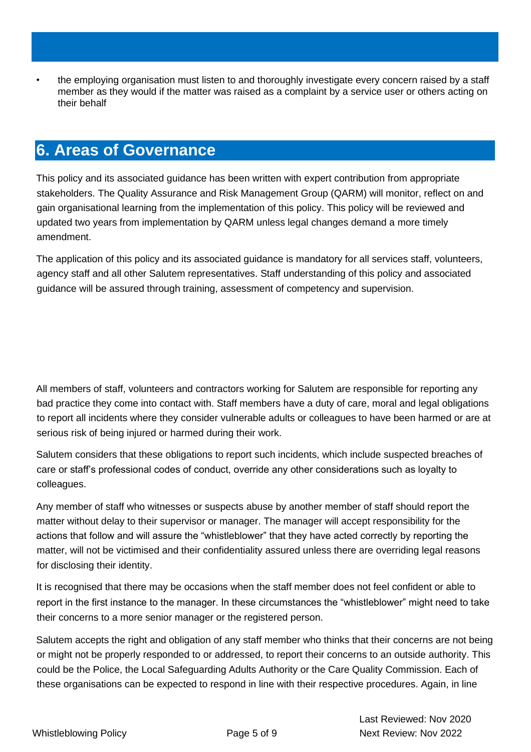• the employing organisation must listen to and thoroughly investigate every concern raised by a staff member as they would if the matter was raised as a complaint by a service user or others acting on their behalf

# <span id="page-4-0"></span>**6. Areas of Governance**

This policy and its associated guidance has been written with expert contribution from appropriate stakeholders. The Quality Assurance and Risk Management Group (QARM) will monitor, reflect on and gain organisational learning from the implementation of this policy. This policy will be reviewed and updated two years from implementation by QARM unless legal changes demand a more timely amendment.

The application of this policy and its associated guidance is mandatory for all services staff, volunteers, agency staff and all other Salutem representatives. Staff understanding of this policy and associated guidance will be assured through training, assessment of competency and supervision.

<span id="page-4-1"></span>All members of staff, volunteers and contractors working for Salutem are responsible for reporting any bad practice they come into contact with. Staff members have a duty of care, moral and legal obligations to report all incidents where they consider vulnerable adults or colleagues to have been harmed or are at serious risk of being injured or harmed during their work.

Salutem considers that these obligations to report such incidents, which include suspected breaches of care or staff's professional codes of conduct, override any other considerations such as loyalty to colleagues.

Any member of staff who witnesses or suspects abuse by another member of staff should report the matter without delay to their supervisor or manager. The manager will accept responsibility for the actions that follow and will assure the "whistleblower" that they have acted correctly by reporting the matter, will not be victimised and their confidentiality assured unless there are overriding legal reasons for disclosing their identity.

It is recognised that there may be occasions when the staff member does not feel confident or able to report in the first instance to the manager. In these circumstances the "whistleblower" might need to take their concerns to a more senior manager or the registered person.

Salutem accepts the right and obligation of any staff member who thinks that their concerns are not being or might not be properly responded to or addressed, to report their concerns to an outside authority. This could be the Police, the Local Safeguarding Adults Authority or the Care Quality Commission. Each of these organisations can be expected to respond in line with their respective procedures. Again, in line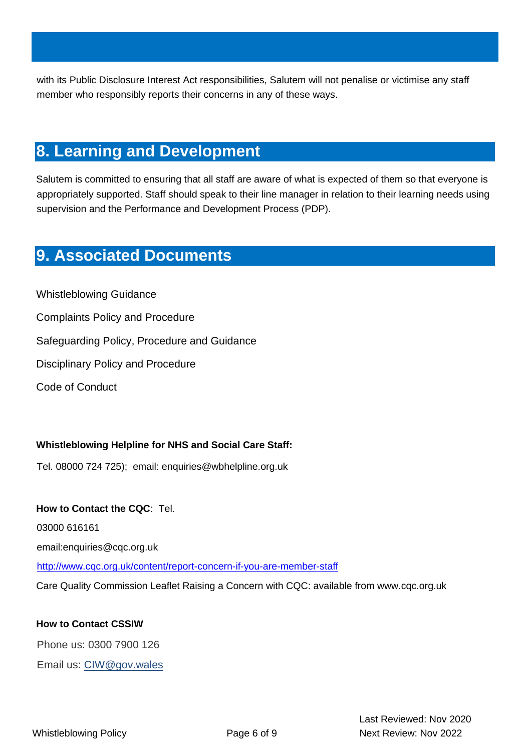with its Public Disclosure Interest Act responsibilities, Salutem will not penalise or victimise any staff member who responsibly reports their concerns in any of these ways.

### <span id="page-5-0"></span>**8. Learning and Development**

Salutem is committed to ensuring that all staff are aware of what is expected of them so that everyone is appropriately supported. Staff should speak to their line manager in relation to their learning needs using supervision and the Performance and Development Process (PDP).

# <span id="page-5-1"></span>**9. Associated Documents**

Whistleblowing Guidance Complaints Policy and Procedure Safeguarding Policy, Procedure and Guidance Disciplinary Policy and Procedure Code of Conduct

### <span id="page-5-2"></span>**Whistleblowing Helpline for NHS and Social Care Staff:**

Tel. 08000 724 725); email: enquiries@wbhelpline.org.uk

### **How to Contact the CQC**: Tel.

03000 616161

email:enquiries@cqc.org.uk

<http://www.cqc.org.uk/content/report-concern-if-you-are-member-staff>

Care Quality Commission Leaflet Raising a Concern with CQC: available from www.cqc.org.uk

### **How to Contact CSSIW**

Phone us: 0300 7900 126

Email us: CIW@gov.wales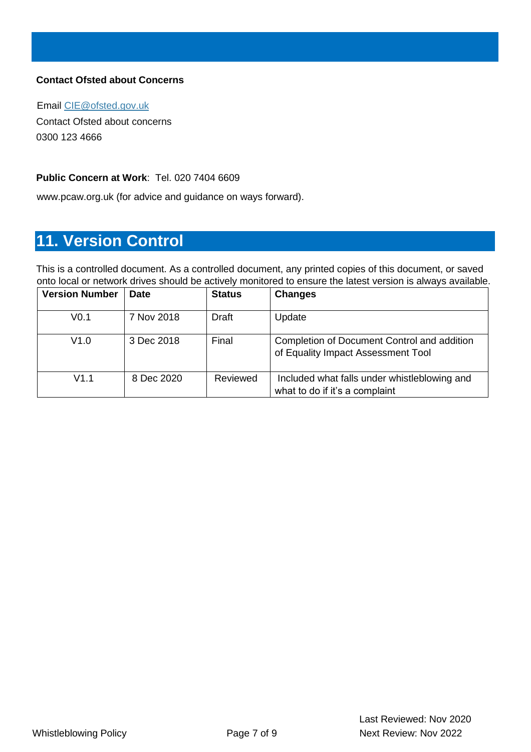### **Contact Ofsted about Concerns**

Email CIE@ofsted.gov.uk Contact Ofsted about concerns 0300 123 4666

#### **Public Concern at Work**: Tel. 020 7404 6609

www.pcaw.org.uk (for advice and guidance on ways forward).

## <span id="page-6-0"></span>**11. Version Control**

This is a controlled document. As a controlled document, any printed copies of this document, or saved onto local or network drives should be actively monitored to ensure the latest version is always available.

| <b>Version Number</b> | <b>Date</b> | <b>Status</b> | <b>Changes</b>                                                                    |
|-----------------------|-------------|---------------|-----------------------------------------------------------------------------------|
| V <sub>0.1</sub>      | 7 Nov 2018  | Draft         | Update                                                                            |
| V1.0                  | 3 Dec 2018  | Final         | Completion of Document Control and addition<br>of Equality Impact Assessment Tool |
| V1.1                  | 8 Dec 2020  | Reviewed      | Included what falls under whistleblowing and<br>what to do if it's a complaint    |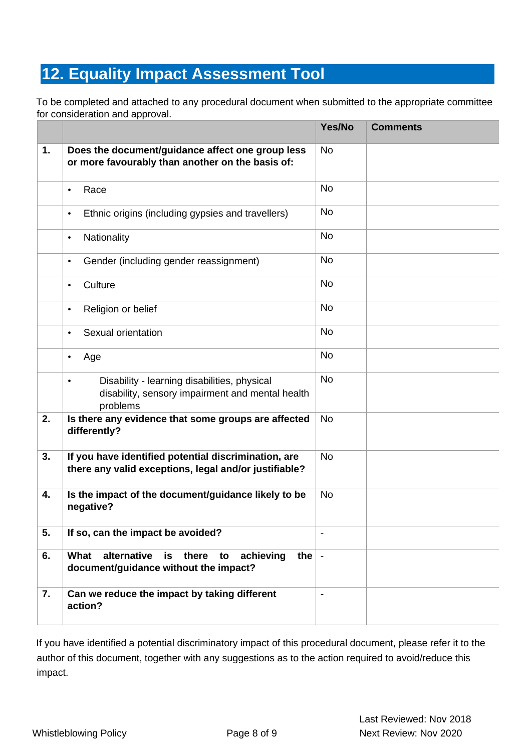# <span id="page-7-0"></span>**12. Equality Impact Assessment Tool**

To be completed and attached to any procedural document when submitted to the appropriate committee for consideration and approval.

|    |                                                                                                                           | Yes/No                   | <b>Comments</b> |
|----|---------------------------------------------------------------------------------------------------------------------------|--------------------------|-----------------|
| 1. | Does the document/guidance affect one group less<br>or more favourably than another on the basis of:                      | <b>No</b>                |                 |
|    | Race<br>$\bullet$                                                                                                         | <b>No</b>                |                 |
|    | Ethnic origins (including gypsies and travellers)<br>$\bullet$                                                            | <b>No</b>                |                 |
|    | Nationality<br>$\bullet$                                                                                                  | <b>No</b>                |                 |
|    | Gender (including gender reassignment)<br>$\bullet$                                                                       | <b>No</b>                |                 |
|    | Culture<br>$\bullet$                                                                                                      | <b>No</b>                |                 |
|    | Religion or belief<br>$\bullet$                                                                                           | <b>No</b>                |                 |
|    | Sexual orientation<br>$\bullet$                                                                                           | <b>No</b>                |                 |
|    | Age<br>$\bullet$                                                                                                          | <b>No</b>                |                 |
|    | Disability - learning disabilities, physical<br>$\bullet$<br>disability, sensory impairment and mental health<br>problems | <b>No</b>                |                 |
| 2. | Is there any evidence that some groups are affected<br>differently?                                                       | <b>No</b>                |                 |
| 3. | If you have identified potential discrimination, are<br>there any valid exceptions, legal and/or justifiable?             | <b>No</b>                |                 |
| 4. | Is the impact of the document/guidance likely to be<br>negative?                                                          | <b>No</b>                |                 |
| 5. | If so, can the impact be avoided?                                                                                         |                          |                 |
| 6. | alternative<br>there<br>achieving<br>What<br>is<br>the $\vert$ -<br>to<br>document/guidance without the impact?           |                          |                 |
| 7. | Can we reduce the impact by taking different<br>action?                                                                   | $\overline{\phantom{a}}$ |                 |

If you have identified a potential discriminatory impact of this procedural document, please refer it to the author of this document, together with any suggestions as to the action required to avoid/reduce this impact.